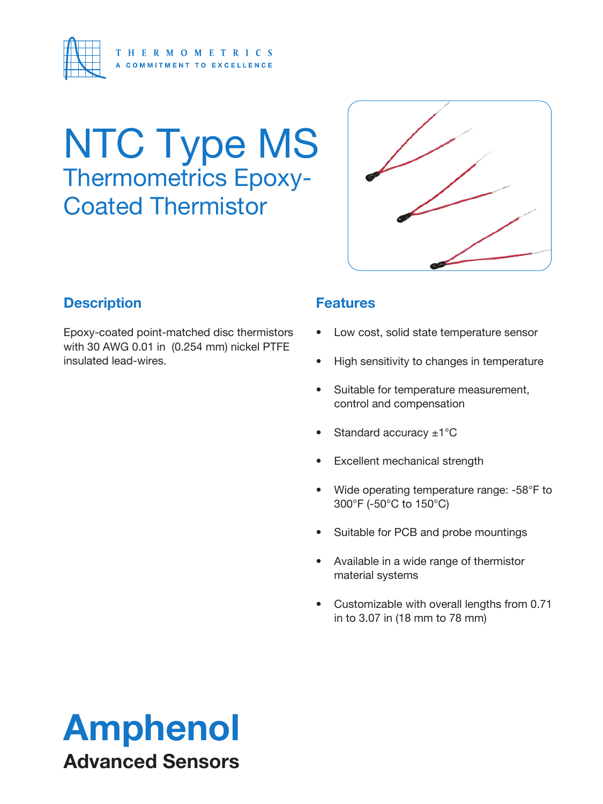

# **NTC Type MS** Thermometrics Epoxy-Coated Thermistor



### **Description**

Epoxy-coated point-matched disc thermistors with 30 AWG 0.01 in (0.254 mm) nickel PTFE insulated lead-wires.

#### **Features**

- Low cost, solid state temperature sensor
- High sensitivity to changes in temperature
- Suitable for temperature measurement, control and compensation
- Standard accuracy  $\pm 1^{\circ}$ C
- **Excellent mechanical strength**
- Wide operating temperature range: -58°F to 300°F (-50°C to 150°C)
- Suitable for PCB and probe mountings
- Available in a wide range of thermistor material systems
- Customizable with overall lengths from 0.71 in to 3.07 in (18 mm to 78 mm)